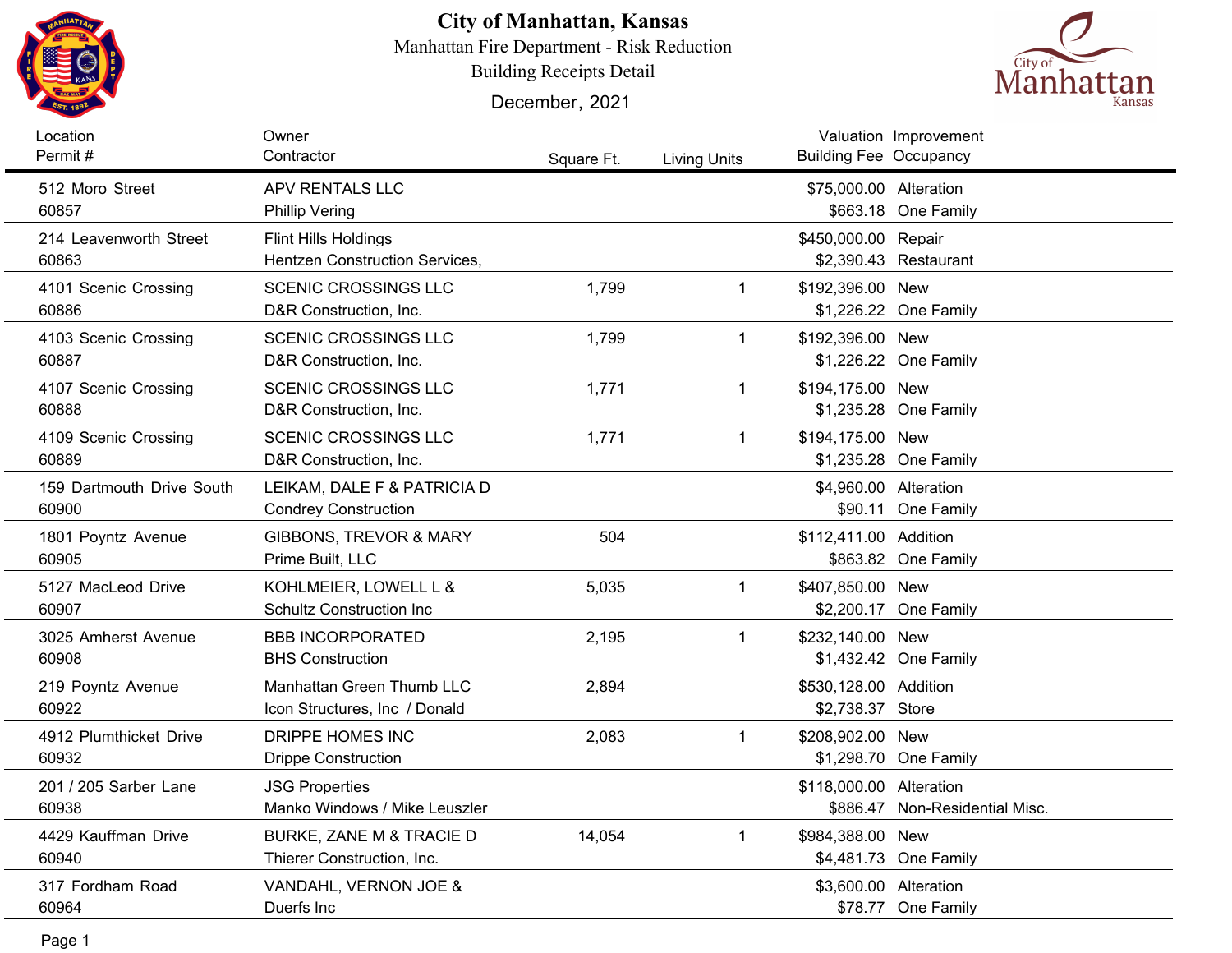

## **City of Manhattan, Kansas**

Manhattan Fire Department - Risk Reduction

Building Receipts Detail

December, 2021



| Location<br>Permit#                | Owner<br>Contractor                                           | Square Ft. | <b>Living Units</b> | <b>Building Fee Occupancy</b>             | Valuation Improvement          |
|------------------------------------|---------------------------------------------------------------|------------|---------------------|-------------------------------------------|--------------------------------|
| 512 Moro Street<br>60857           | APV RENTALS LLC<br><b>Phillip Vering</b>                      |            |                     | \$75,000.00 Alteration                    | \$663.18 One Family            |
| 214 Leavenworth Street<br>60863    | Flint Hills Holdings<br><b>Hentzen Construction Services,</b> |            |                     | \$450,000.00 Repair                       | \$2,390.43 Restaurant          |
| 4101 Scenic Crossing<br>60886      | <b>SCENIC CROSSINGS LLC</b><br>D&R Construction, Inc.         | 1,799      | $\mathbf{1}$        | \$192,396.00 New                          | \$1,226.22 One Family          |
| 4103 Scenic Crossing<br>60887      | <b>SCENIC CROSSINGS LLC</b><br>D&R Construction, Inc.         | 1,799      | $\mathbf{1}$        | \$192,396.00 New                          | \$1,226.22 One Family          |
| 4107 Scenic Crossing<br>60888      | <b>SCENIC CROSSINGS LLC</b><br>D&R Construction, Inc.         | 1,771      | $\mathbf{1}$        | \$194,175.00 New                          | \$1,235.28 One Family          |
| 4109 Scenic Crossing<br>60889      | <b>SCENIC CROSSINGS LLC</b><br>D&R Construction, Inc.         | 1,771      | $\mathbf{1}$        | \$194,175.00 New                          | \$1,235.28 One Family          |
| 159 Dartmouth Drive South<br>60900 | LEIKAM, DALE F & PATRICIA D<br><b>Condrey Construction</b>    |            |                     | \$4,960.00 Alteration                     | \$90.11 One Family             |
| 1801 Poyntz Avenue<br>60905        | GIBBONS, TREVOR & MARY<br>Prime Built, LLC                    | 504        |                     | \$112,411.00 Addition                     | \$863.82 One Family            |
| 5127 MacLeod Drive<br>60907        | KOHLMEIER, LOWELL L &<br><b>Schultz Construction Inc.</b>     | 5,035      | $\mathbf{1}$        | \$407,850.00 New                          | \$2,200.17 One Family          |
| 3025 Amherst Avenue<br>60908       | <b>BBB INCORPORATED</b><br><b>BHS Construction</b>            | 2,195      | $\mathbf 1$         | \$232,140.00 New                          | \$1,432.42 One Family          |
| 219 Poyntz Avenue<br>60922         | Manhattan Green Thumb LLC<br>Icon Structures, Inc / Donald    | 2,894      |                     | \$530,128.00 Addition<br>\$2,738.37 Store |                                |
| 4912 Plumthicket Drive<br>60932    | DRIPPE HOMES INC<br><b>Drippe Construction</b>                | 2,083      | $\mathbf 1$         | \$208,902.00 New                          | \$1,298.70 One Family          |
| 201 / 205 Sarber Lane<br>60938     | <b>JSG Properties</b><br>Manko Windows / Mike Leuszler        |            |                     | \$118,000.00 Alteration                   | \$886.47 Non-Residential Misc. |
| 4429 Kauffman Drive<br>60940       | BURKE, ZANE M & TRACIE D<br>Thierer Construction, Inc.        | 14,054     | $\mathbf{1}$        | \$984,388.00 New                          | \$4,481.73 One Family          |
| 317 Fordham Road<br>60964          | VANDAHL, VERNON JOE &<br>Duerfs Inc.                          |            |                     | \$3,600.00 Alteration                     | \$78.77 One Family             |
|                                    |                                                               |            |                     |                                           |                                |